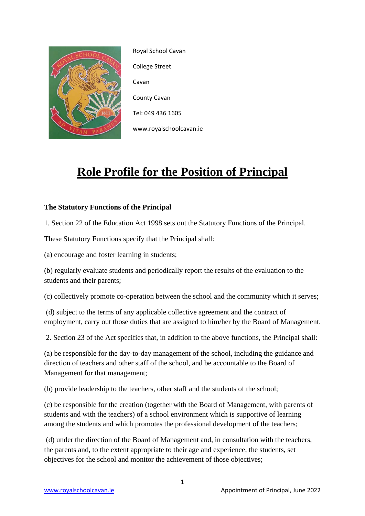

Royal School Cavan College Street Cavan County Cavan Tel: 049 436 1605 www.royalschoolcavan.ie

# **Role Profile for the Position of Principal**

# **The Statutory Functions of the Principal**

1. Section 22 of the Education Act 1998 sets out the Statutory Functions of the Principal.

These Statutory Functions specify that the Principal shall:

(a) encourage and foster learning in students;

(b) regularly evaluate students and periodically report the results of the evaluation to the students and their parents;

(c) collectively promote co-operation between the school and the community which it serves;

(d) subject to the terms of any applicable collective agreement and the contract of employment, carry out those duties that are assigned to him/her by the Board of Management.

2. Section 23 of the Act specifies that, in addition to the above functions, the Principal shall:

(a) be responsible for the day-to-day management of the school, including the guidance and direction of teachers and other staff of the school, and be accountable to the Board of Management for that management;

(b) provide leadership to the teachers, other staff and the students of the school;

(c) be responsible for the creation (together with the Board of Management, with parents of students and with the teachers) of a school environment which is supportive of learning among the students and which promotes the professional development of the teachers;

(d) under the direction of the Board of Management and, in consultation with the teachers, the parents and, to the extent appropriate to their age and experience, the students, set objectives for the school and monitor the achievement of those objectives;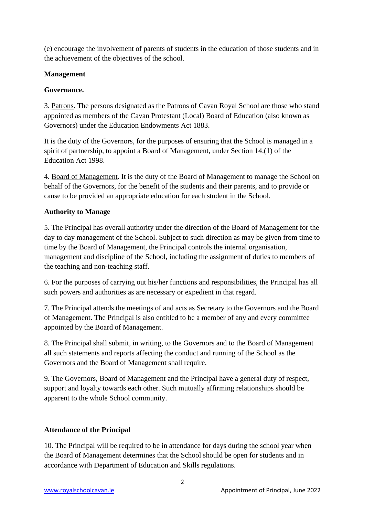(e) encourage the involvement of parents of students in the education of those students and in the achievement of the objectives of the school.

## **Management**

## **Governance.**

3. Patrons. The persons designated as the Patrons of Cavan Royal School are those who stand appointed as members of the Cavan Protestant (Local) Board of Education (also known as Governors) under the Education Endowments Act 1883.

It is the duty of the Governors, for the purposes of ensuring that the School is managed in a spirit of partnership, to appoint a Board of Management, under Section 14.(1) of the Education Act 1998.

4. Board of Management. It is the duty of the Board of Management to manage the School on behalf of the Governors, for the benefit of the students and their parents, and to provide or cause to be provided an appropriate education for each student in the School.

## **Authority to Manage**

5. The Principal has overall authority under the direction of the Board of Management for the day to day management of the School. Subject to such direction as may be given from time to time by the Board of Management, the Principal controls the internal organisation, management and discipline of the School, including the assignment of duties to members of the teaching and non-teaching staff.

6. For the purposes of carrying out his/her functions and responsibilities, the Principal has all such powers and authorities as are necessary or expedient in that regard.

7. The Principal attends the meetings of and acts as Secretary to the Governors and the Board of Management. The Principal is also entitled to be a member of any and every committee appointed by the Board of Management.

8. The Principal shall submit, in writing, to the Governors and to the Board of Management all such statements and reports affecting the conduct and running of the School as the Governors and the Board of Management shall require.

9. The Governors, Board of Management and the Principal have a general duty of respect, support and loyalty towards each other. Such mutually affirming relationships should be apparent to the whole School community.

# **Attendance of the Principal**

10. The Principal will be required to be in attendance for days during the school year when the Board of Management determines that the School should be open for students and in accordance with Department of Education and Skills regulations.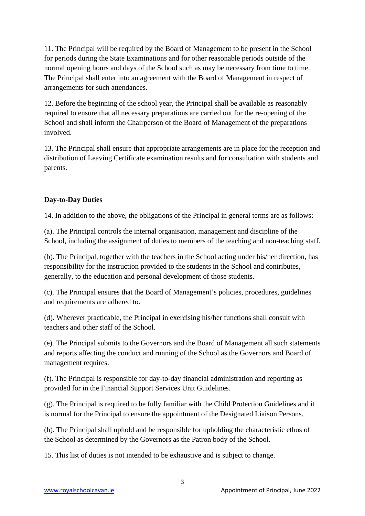11. The Principal will be required by the Board of Management to be present in the School for periods during the State Examinations and for other reasonable periods outside of the normal opening hours and days of the School such as may be necessary from time to time. The Principal shall enter into an agreement with the Board of Management in respect of arrangements for such attendances.

12. Before the beginning of the school year, the Principal shall be available as reasonably required to ensure that all necessary preparations are carried out for the re-opening of the School and shall inform the Chairperson of the Board of Management of the preparations involved.

13. The Principal shall ensure that appropriate arrangements are in place for the reception and distribution of Leaving Certificate examination results and for consultation with students and parents.

# **Day-to-Day Duties**

14. In addition to the above, the obligations of the Principal in general terms are as follows:

(a). The Principal controls the internal organisation, management and discipline of the School, including the assignment of duties to members of the teaching and non-teaching staff.

(b). The Principal, together with the teachers in the School acting under his/her direction, has responsibility for the instruction provided to the students in the School and contributes, generally, to the education and personal development of those students.

(c). The Principal ensures that the Board of Management's policies, procedures, guidelines and requirements are adhered to.

(d). Wherever practicable, the Principal in exercising his/her functions shall consult with teachers and other staff of the School.

(e). The Principal submits to the Governors and the Board of Management all such statements and reports affecting the conduct and running of the School as the Governors and Board of management requires.

(f). The Principal is responsible for day-to-day financial administration and reporting as provided for in the Financial Support Services Unit Guidelines.

(g). The Principal is required to be fully familiar with the Child Protection Guidelines and it is normal for the Principal to ensure the appointment of the Designated Liaison Persons.

(h). The Principal shall uphold and be responsible for upholding the characteristic ethos of the School as determined by the Governors as the Patron body of the School.

15. This list of duties is not intended to be exhaustive and is subject to change.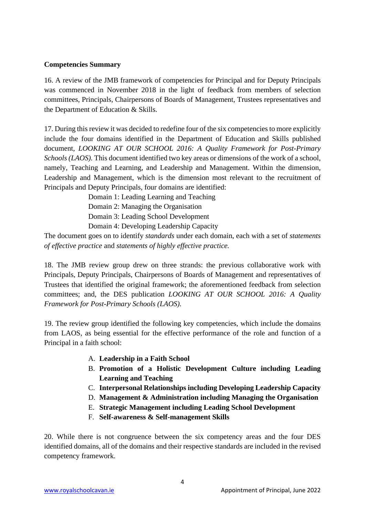#### **Competencies Summary**

16. A review of the JMB framework of competencies for Principal and for Deputy Principals was commenced in November 2018 in the light of feedback from members of selection committees, Principals, Chairpersons of Boards of Management, Trustees representatives and the Department of Education & Skills.

17. During this review it was decided to redefine four of the six competencies to more explicitly include the four domains identified in the Department of Education and Skills published document, *LOOKING AT OUR SCHOOL 2016: A Quality Framework for Post-Primary Schools (LAOS).* This document identified two key areas or dimensions of the work of a school, namely, Teaching and Learning, and Leadership and Management. Within the dimension, Leadership and Management, which is the dimension most relevant to the recruitment of Principals and Deputy Principals, four domains are identified:

> Domain 1: Leading Learning and Teaching Domain 2: Managing the Organisation Domain 3: Leading School Development Domain 4: Developing Leadership Capacity

The document goes on to identify *standards* under each domain, each with a set of *statements of effective practice* and *statements of highly effective practice.*

18. The JMB review group drew on three strands: the previous collaborative work with Principals, Deputy Principals, Chairpersons of Boards of Management and representatives of Trustees that identified the original framework; the aforementioned feedback from selection committees; and, the DES publication *LOOKING AT OUR SCHOOL 2016: A Quality Framework for Post-Primary Schools (LAOS).* 

19. The review group identified the following key competencies, which include the domains from LAOS, as being essential for the effective performance of the role and function of a Principal in a faith school:

- A. **Leadership in a Faith School**
- B. **Promotion of a Holistic Development Culture including Leading Learning and Teaching**
- C. **Interpersonal Relationships including Developing Leadership Capacity**
- D. **Management & Administration including Managing the Organisation**
- E. **Strategic Management including Leading School Development**
- F. **Self-awareness & Self-management Skills**

20. While there is not congruence between the six competency areas and the four DES identified domains, all of the domains and their respective standards are included in the revised competency framework.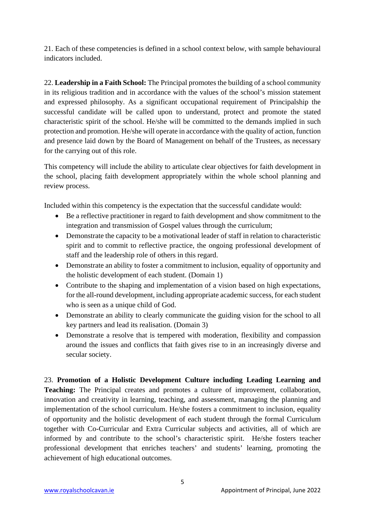21. Each of these competencies is defined in a school context below, with sample behavioural indicators included.

22. **Leadership in a Faith School:** The Principal promotes the building of a school community in its religious tradition and in accordance with the values of the school's mission statement and expressed philosophy. As a significant occupational requirement of Principalship the successful candidate will be called upon to understand, protect and promote the stated characteristic spirit of the school. He/she will be committed to the demands implied in such protection and promotion. He/she will operate in accordance with the quality of action, function and presence laid down by the Board of Management on behalf of the Trustees, as necessary for the carrying out of this role.

This competency will include the ability to articulate clear objectives for faith development in the school, placing faith development appropriately within the whole school planning and review process.

Included within this competency is the expectation that the successful candidate would:

- Be a reflective practitioner in regard to faith development and show commitment to the integration and transmission of Gospel values through the curriculum;
- Demonstrate the capacity to be a motivational leader of staff in relation to characteristic spirit and to commit to reflective practice, the ongoing professional development of staff and the leadership role of others in this regard.
- Demonstrate an ability to foster a commitment to inclusion, equality of opportunity and the holistic development of each student. (Domain 1)
- Contribute to the shaping and implementation of a vision based on high expectations, for the all-round development, including appropriate academic success, for each student who is seen as a unique child of God.
- Demonstrate an ability to clearly communicate the guiding vision for the school to all key partners and lead its realisation. (Domain 3)
- Demonstrate a resolve that is tempered with moderation, flexibility and compassion around the issues and conflicts that faith gives rise to in an increasingly diverse and secular society.

23. **Promotion of a Holistic Development Culture including Leading Learning and Teaching:** The Principal creates and promotes a culture of improvement, collaboration, innovation and creativity in learning, teaching, and assessment, managing the planning and implementation of the school curriculum. He/she fosters a commitment to inclusion, equality of opportunity and the holistic development of each student through the formal Curriculum together with Co-Curricular and Extra Curricular subjects and activities, all of which are informed by and contribute to the school's characteristic spirit. He/she fosters teacher professional development that enriches teachers' and students' learning, promoting the achievement of high educational outcomes.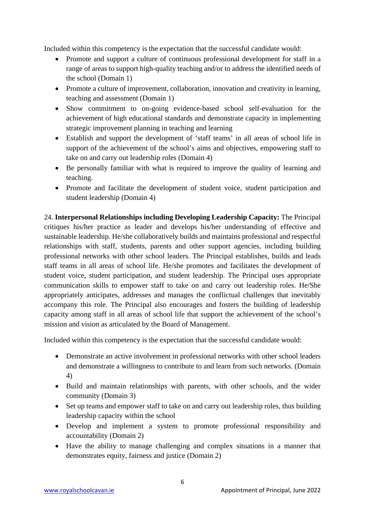Included within this competency is the expectation that the successful candidate would:

- Promote and support a culture of continuous professional development for staff in a range of areas to support high-quality teaching and/or to address the identified needs of the school (Domain 1)
- Promote a culture of improvement, collaboration, innovation and creativity in learning, teaching and assessment (Domain 1)
- Show commitment to on-going evidence-based school self-evaluation for the achievement of high educational standards and demonstrate capacity in implementing strategic improvement planning in teaching and learning
- Establish and support the development of 'staff teams' in all areas of school life in support of the achievement of the school's aims and objectives, empowering staff to take on and carry out leadership roles (Domain 4)
- Be personally familiar with what is required to improve the quality of learning and teaching.
- Promote and facilitate the development of student voice, student participation and student leadership (Domain 4)

24. **Interpersonal Relationships including Developing Leadership Capacity:** The Principal critiques his/her practice as leader and develops his/her understanding of effective and sustainable leadership. He/she collaboratively builds and maintains professional and respectful relationships with staff, students, parents and other support agencies, including building professional networks with other school leaders. The Principal establishes, builds and leads staff teams in all areas of school life. He/she promotes and facilitates the development of student voice, student participation, and student leadership. The Principal uses appropriate communication skills to empower staff to take on and carry out leadership roles. He/She appropriately anticipates, addresses and manages the conflictual challenges that inevitably accompany this role. The Principal also encourages and fosters the building of leadership capacity among staff in all areas of school life that support the achievement of the school's mission and vision as articulated by the Board of Management.

Included within this competency is the expectation that the successful candidate would:

- Demonstrate an active involvement in professional networks with other school leaders and demonstrate a willingness to contribute to and learn from such networks. (Domain 4)
- Build and maintain relationships with parents, with other schools, and the wider community (Domain 3)
- Set up teams and empower staff to take on and carry out leadership roles, thus building leadership capacity within the school
- Develop and implement a system to promote professional responsibility and accountability (Domain 2)
- Have the ability to manage challenging and complex situations in a manner that demonstrates equity, fairness and justice (Domain 2)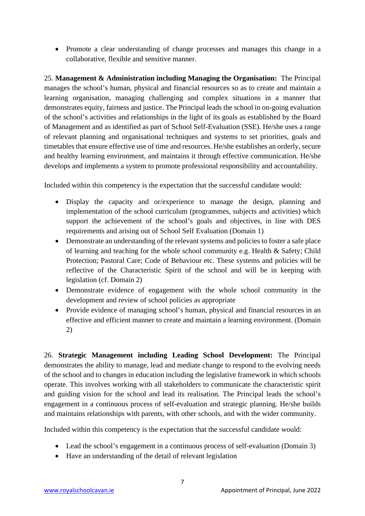• Promote a clear understanding of change processes and manages this change in a collaborative, flexible and sensitive manner.

25. **Management & Administration including Managing the Organisation:** The Principal manages the school's human, physical and financial resources so as to create and maintain a learning organisation, managing challenging and complex situations in a manner that demonstrates equity, fairness and justice. The Principal leads the school in on-going evaluation of the school's activities and relationships in the light of its goals as established by the Board of Management and as identified as part of School Self-Evaluation (SSE). He/she uses a range of relevant planning and organisational techniques and systems to set priorities, goals and timetables that ensure effective use of time and resources. He/she establishes an orderly, secure and healthy learning environment, and maintains it through effective communication. He/she develops and implements a system to promote professional responsibility and accountability.

Included within this competency is the expectation that the successful candidate would:

- Display the capacity and or/experience to manage the design, planning and implementation of the school curriculum (programmes, subjects and activities) which support the achievement of the school's goals and objectives, in line with DES requirements and arising out of School Self Evaluation (Domain 1)
- Demonstrate an understanding of the relevant systems and policies to foster a safe place of learning and teaching for the whole school community e.g. Health & Safety; Child Protection; Pastoral Care; Code of Behaviour etc. These systems and policies will be reflective of the Characteristic Spirit of the school and will be in keeping with legislation (cf. Domain 2)
- Demonstrate evidence of engagement with the whole school community in the development and review of school policies as appropriate
- Provide evidence of managing school's human, physical and financial resources in an effective and efficient manner to create and maintain a learning environment. (Domain 2)

26. **Strategic Management including Leading School Development:** The Principal demonstrates the ability to manage, lead and mediate change to respond to the evolving needs of the school and to changes in education including the legislative framework in which schools operate. This involves working with all stakeholders to communicate the characteristic spirit and guiding vision for the school and lead its realisation. The Principal leads the school's engagement in a continuous process of self-evaluation and strategic planning. He/she builds and maintains relationships with parents, with other schools, and with the wider community.

Included within this competency is the expectation that the successful candidate would:

- Lead the school's engagement in a continuous process of self-evaluation (Domain 3)
- Have an understanding of the detail of relevant legislation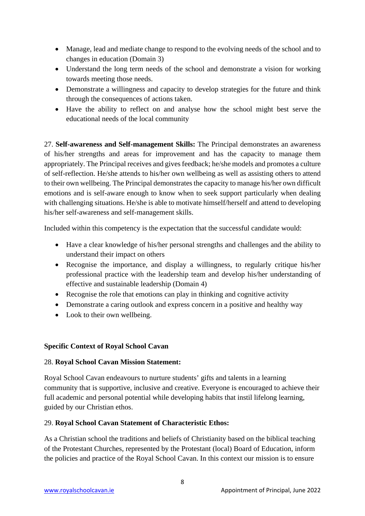- Manage, lead and mediate change to respond to the evolving needs of the school and to changes in education (Domain 3)
- Understand the long term needs of the school and demonstrate a vision for working towards meeting those needs.
- Demonstrate a willingness and capacity to develop strategies for the future and think through the consequences of actions taken.
- Have the ability to reflect on and analyse how the school might best serve the educational needs of the local community

27. **Self-awareness and Self-management Skills:** The Principal demonstrates an awareness of his/her strengths and areas for improvement and has the capacity to manage them appropriately. The Principal receives and gives feedback; he/she models and promotes a culture of self-reflection. He/she attends to his/her own wellbeing as well as assisting others to attend to their own wellbeing. The Principal demonstrates the capacity to manage his/her own difficult emotions and is self-aware enough to know when to seek support particularly when dealing with challenging situations. He/she is able to motivate himself/herself and attend to developing his/her self-awareness and self-management skills.

Included within this competency is the expectation that the successful candidate would:

- Have a clear knowledge of his/her personal strengths and challenges and the ability to understand their impact on others
- Recognise the importance, and display a willingness, to regularly critique his/her professional practice with the leadership team and develop his/her understanding of effective and sustainable leadership (Domain 4)
- Recognise the role that emotions can play in thinking and cognitive activity
- Demonstrate a caring outlook and express concern in a positive and healthy way
- Look to their own wellbeing.

# **Specific Context of Royal School Cavan**

#### 28. **Royal School Cavan Mission Statement:**

Royal School Cavan endeavours to nurture students' gifts and talents in a learning community that is supportive, inclusive and creative. Everyone is encouraged to achieve their full academic and personal potential while developing habits that instil lifelong learning, guided by our Christian ethos.

#### 29. **Royal School Cavan Statement of Characteristic Ethos:**

As a Christian school the traditions and beliefs of Christianity based on the biblical teaching of the Protestant Churches, represented by the Protestant (local) Board of Education, inform the policies and practice of the Royal School Cavan. In this context our mission is to ensure